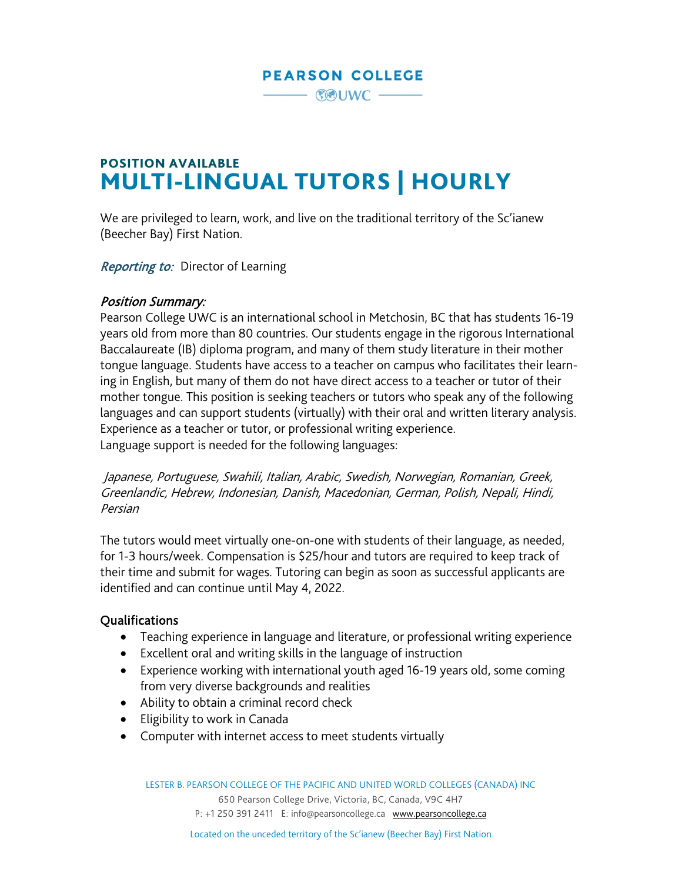# **PEARSON COLLEGE**

#### $-$  COUWC  $-$

# POSITION AVAILABLE MULTI-LINGUAL TUTORS | HOURLY

We are privileged to learn, work, and live on the traditional territory of the Sc'ianew (Beecher Bay) First Nation.

Reporting to: Director of Learning

#### Position Summary:

Pearson College UWC is an international school in Metchosin, BC that has students 16-19 years old from more than 80 countries. Our students engage in the rigorous International Baccalaureate (IB) diploma program, and many of them study literature in their mother tongue language. Students have access to a teacher on campus who facilitates their learning in English, but many of them do not have direct access to a teacher or tutor of their mother tongue. This position is seeking teachers or tutors who speak any of the following languages and can support students (virtually) with their oral and written literary analysis. Experience as a teacher or tutor, or professional writing experience. Language support is needed for the following languages:

Japanese, Portuguese, Swahili, Italian, Arabic, Swedish, Norwegian, Romanian, Greek, Greenlandic, Hebrew, Indonesian, Danish, Macedonian, German, Polish, Nepali, Hindi, Persian

The tutors would meet virtually one-on-one with students of their language, as needed, for 1-3 hours/week. Compensation is \$25/hour and tutors are required to keep track of their time and submit for wages. Tutoring can begin as soon as successful applicants are identified and can continue until May 4, 2022.

#### Qualifications

- Teaching experience in language and literature, or professional writing experience
- Excellent oral and writing skills in the language of instruction
- Experience working with international youth aged 16-19 years old, some coming from very diverse backgrounds and realities
- Ability to obtain a criminal record check
- Eligibility to work in Canada
- Computer with internet access to meet students virtually

650 Pearson College Drive, Victoria, BC, Canada, V9C 4H7 P: +1 250 391 2411 E: [info@pearsoncollege.ca](mailto:info@pearsoncollege.ca) [www.pearsoncollege.ca](http://www.pearsoncollege.ca/)